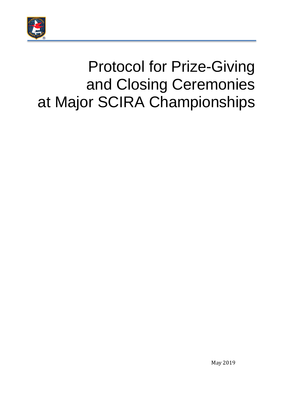

# Protocol for Prize-Giving and Closing Ceremonies at Major SCIRA Championships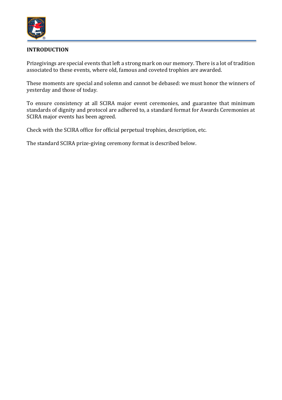

## **INTRODUCTION**

Prizegivings are special events that left a strong mark on our memory. There is a lot of tradition associated to these events, where old, famous and coveted trophies are awarded.

These moments are special and solemn and cannot be debased: we must honor the winners of yesterday and those of today.

To ensure consistency at all SCIRA major event ceremonies, and guarantee that minimum standards of dignity and protocol are adhered to, a standard format for Awards Ceremonies at SCIRA major events has been agreed.

Check with the SCIRA office for official perpetual trophies, description, etc.

The standard SCIRA prize-giving ceremony format is described below.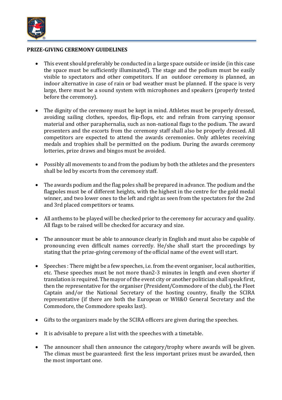

#### **PRIZE-GIVING CEREMONY GUIDELINES**

- This event should preferably be conducted in a large space outside or inside (in this case the space must be sufficiently illuminated). The stage and the podium must be easily visible to spectators and other competitors. If an outdoor ceremony is planned, an indoor alternative in case of rain or bad weather must be planned. If the space is very large, there must be a sound system with microphones and speakers (properly tested before the ceremony).
- The dignity of the ceremony must be kept in mind. Athletes must be properly dressed, avoiding sailing clothes, speedos, flip-flops, etc and refrain from carrying sponsor material and other paraphernalia, such as non-national flags to the podium. The award presenters and the escorts from the ceremony staff shall also be properly dressed. All competitors are expected to attend the awards ceremonies. Only athletes receiving medals and trophies shall be permitted on the podium. During the awards ceremony lotteries, prize draws and bingos must be avoided.
- Possibly all movements to and from the podium by both the athletes and the presenters shall be led by escorts from the ceremony staff.
- The awards podium and the flag poles shall be prepared in advance. The podium and the flagpoles must be of different heights, with the highest in the centre for the gold medal winner, and two lower ones to the left and right as seen from the spectators for the 2nd and 3rd placed competitors or teams.
- All anthems to be played will be checked prior to the ceremony for accuracy and quality. All flags to be raised will be checked for accuracy and size.
- The announcer must be able to announce clearly in English and must also be capable of pronouncing even difficult names correctly. He/she shall start the proceedings by stating that the prize-giving ceremony of the official name of the event will start.
- Speeches : There might be a few speeches, i.e. from the event organiser, local authorities, etc. These speeches must be not more than2-3 minutes in length and even shorter if translation is required. The mayor of the event city or another politician shall speak first, then the representative for the organiser (President/Commodore of the club), the Fleet Captain and/or the National Secretary of the hosting country, finally the SCIRA representative (if there are both the European or WH&O General Secretary and the Commodore, the Commodore speaks last).
- Gifts to the organizers made by the SCIRA officers are given during the speeches.
- It is advisable to prepare a list with the speeches with a timetable.
- The announcer shall then announce the category/trophy where awards will be given. The climax must be guaranteed: first the less important prizes must be awarded, then the most important one.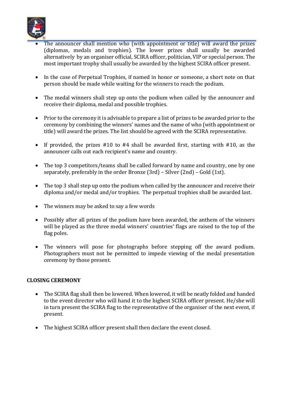

- The announcer shall mention who (with appointment or title) will award the prizes (diplomas, medals and trophies). The lower prizes shall usually be awarded alternatively by an organiser official, SCIRA officer, politician, VIP or special person. The most important trophy shall usually be awarded by the highest SCIRA officer present.
- In the case of Perpetual Trophies, if named in honor or someone, a short note on that person should be made while waiting for the winners to reach the podium.
- The medal winners shall step up onto the podium when called by the announcer and receive their diploma, medal and possible trophies.
- Prior to the ceremony it is advisable to prepare a list of prizes to be awarded prior to the ceremony by combining the winners' names and the name of who (with appointment or title) will award the prizes. The list should be agreed with the SCIRA representative.
- If provided, the prizes #10 to #4 shall be awarded first, starting with #10, as the announcer calls out each recipient's name and country.
- The top 3 competitors/teams shall be called forward by name and country, one by one separately, preferably in the order Bronze (3rd) – Silver (2nd) – Gold (1st).
- The top 3 shall step up onto the podium when called by the announcer and receive their diploma and/or medal and/or trophies. The perpetual trophies shall be awarded last.
- The winners may be asked to say a few words
- Possibly after all prizes of the podium have been awarded, the anthem of the winners will be played as the three medal winners' countries' flags are raised to the top of the flag poles.
- The winners will pose for photographs before stepping off the award podium. Photographers must not be permitted to impede viewing of the medal presentation ceremony by those present.

## **CLOSING CEREMONY**

- The SCIRA flag shall then be lowered. When lowered, it will be neatly folded and handed to the event director who will hand it to the highest SCIRA officer present. He/she will in turn present the SCIRA flag to the representative of the organiser of the next event, if present.
- The highest SCIRA officer present shall then declare the event closed.